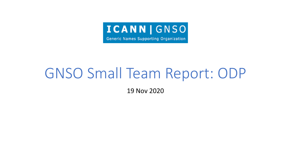

Generic Names Supporting Organization

# GNSO Small Team Report: ODP

19 Nov 2020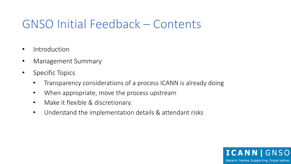## GNSO Initial Feedback – Contents

- Introduction
- Management Summary
- Specific Topics
	- Transparency considerations of a process ICANN is already doing
	- When appropriate, move the process upstream
	- Make it flexible & discretionary.
	- Understand the implementation details & attendant risks

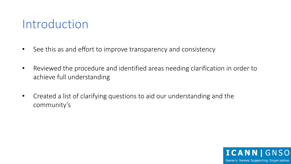#### Introduction

- See this as and effort to improve transparency and consistency
- Reviewed the procedure and identified areas needing clarification in order to achieve full understanding
- Created a list of clarifying questions to aid our understanding and the community's

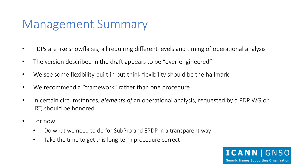## Management Summary

- PDPs are like snowflakes, all requiring different levels and timing of operational analysis
- The version described in the draft appears to be "over-engineered"
- We see some flexibility built-in but think flexibility should be the hallmark
- We recommend a "framework" rather than one procedure
- In certain circumstances, *elements of* an operational analysis, requested by a PDP WG or IRT, should be honored
- For now:
	- Do what we need to do for SubPro and EPDP in a transparent way
	- Take the time to get this long-term procedure correct

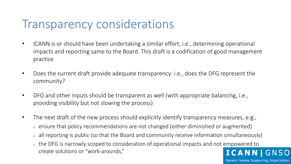#### Transparency considerations

- ICANN is or should have been undertaking a similar effort, i.e., determining operational impacts and reporting same to the Board. This draft is a codification of good management practice
- Does the current draft provide adequate transparency: i.e., does the DFG represent the community?
- DFG and other inputs should be transparent as well (with appropriate balancing, i.e., providing visibility but not slowing the process)
- The next draft of the new process should explicitly identify transparency measures, e.g.,
	- $\circ$  ensure that policy recommendations are not changed (either diminished or augmented)
	- all reporting is public (so that the Board and community receive information simultaneously)
	- o the DFG is narrowly scoped to consideration of operational impacts and not empowered to create solutions or "work-arounds," **ICANNI**

GNSO

Generic Names Supporting Organization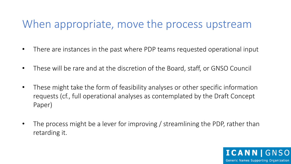#### When appropriate, move the process upstream

- There are instances in the past where PDP teams requested operational input
- These will be rare and at the discretion of the Board, staff, or GNSO Council
- These might take the form of feasibility analyses or other specific information requests (cf., full operational analyses as contemplated by the Draft Concept Paper)
- The process might be a lever for improving / streamlining the PDP, rather than retarding it.

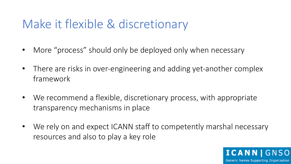### Make it flexible & discretionary

- More "process" should only be deployed only when necessary
- There are risks in over-engineering and adding yet-another complex framework
- We recommend a flexible, discretionary process, with appropriate transparency mechanisms in place
- We rely on and expect ICANN staff to competently marshal necessary resources and also to play a key role